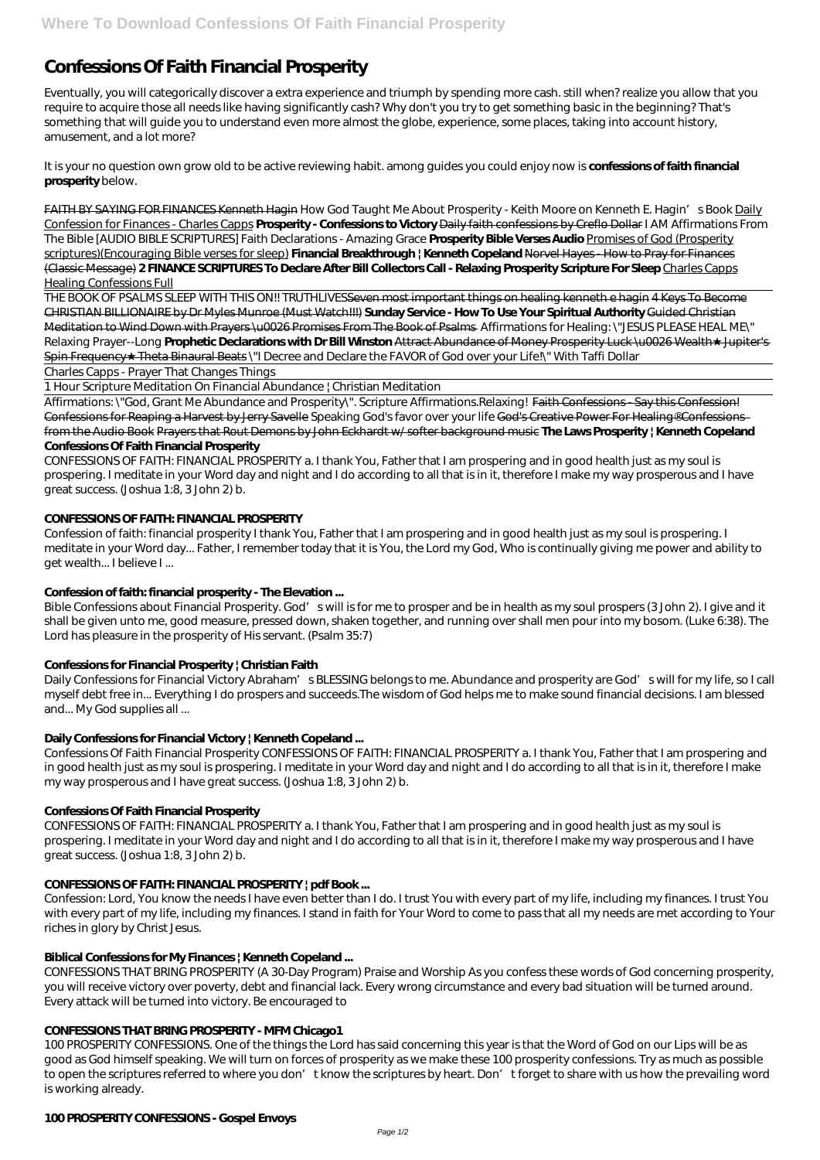# **Confessions Of Faith Financial Prosperity**

Eventually, you will categorically discover a extra experience and triumph by spending more cash. still when? realize you allow that you require to acquire those all needs like having significantly cash? Why don't you try to get something basic in the beginning? That's something that will guide you to understand even more almost the globe, experience, some places, taking into account history, amusement, and a lot more?

It is your no question own grow old to be active reviewing habit. among guides you could enjoy now is **confessions of faith financial prosperity** below.

FAITH BY SAYING FOR FINANCES Kenneth Hagin *How God Taught Me About Prosperity - Keith Moore on Kenneth E. Hagin's Book* Daily Confession for Finances - Charles Capps **Prosperity - Confessions to Victory** Daily faith confessions by Creflo Dollar *I AM Affirmations From The Bible [AUDIO BIBLE SCRIPTURES] Faith Declarations - Amazing Grace* **Prosperity Bible Verses Audio** Promises of God (Prosperity scriptures)(Encouraging Bible verses for sleep) **Financial Breakthrough | Kenneth Copeland** Norvel Hayes - How to Pray for Finances (Classic Message) **2 FINANCE SCRIPTURES To Declare After Bill Collectors Call - Relaxing Prosperity Scripture For Sleep** Charles Capps Healing Confessions Full

THE BOOK OF PSALMS SLEEP WITH THIS ON!! TRUTHLIVESSeven most important things on healing kenneth e hagin 4 Keys To Become CHRISTIAN BILLIONAIRE by Dr Myles Munroe (Must Watch!!!) **Sunday Service - How To Use Your Spiritual Authority** Guided Christian Meditation to Wind Down with Prayers \u0026 Promises From The Book of Psalms Affirmations for Healing: \"JESUS PLEASE HEAL ME\" Relaxing Prayer--Long Prophetic Dedarations with Dr Bill Winston Attract Abundance of Money Prosperity Luck \u0026 Wealth Jupiter's Spin Frequency Theta Binaural Beats \"I Decree and Declare the FAVOR of God over your Life \\" With Taffi Dollar

Affirmations: \"God, Grant Me Abundance and Prosperity\". Scripture Affirmations.Relaxing! Faith Confessions - Say this Confession! Confessions for Reaping a Harvest by Jerry Savelle Speaking God's favor over your life God's Creative Power For Healing® Confessions from the Audio Book Prayers that Rout Demons by John Eckhardt w/ softer background music **The Laws Prosperity | Kenneth Copeland Confessions Of Faith Financial Prosperity**

Bible Confessions about Financial Prosperity. God's will is for me to prosper and be in health as my soul prospers (3 John 2). I give and it shall be given unto me, good measure, pressed down, shaken together, and running over shall men pour into my bosom. (Luke 6:38). The Lord has pleasure in the prosperity of His servant. (Psalm 35:7)

Daily Confessions for Financial Victory Abraham's BLESSING belongs to me. Abundance and prosperity are God's will for my life, so I call myself debt free in... Everything I do prospers and succeeds.The wisdom of God helps me to make sound financial decisions. I am blessed and... My God supplies all ...

Charles Capps - Prayer That Changes Things

1 Hour Scripture Meditation On Financial Abundance | Christian Meditation

CONFESSIONS OF FAITH: FINANCIAL PROSPERITY a. I thank You, Father that I am prospering and in good health just as my soul is prospering. I meditate in your Word day and night and I do according to all that is in it, therefore I make my way prosperous and I have great success. (Joshua 1:8, 3 John 2) b.

# **CONFESSIONS OF FAITH: FINANCIAL PROSPERITY**

Confession of faith: financial prosperity I thank You, Father that I am prospering and in good health just as my soul is prospering. I meditate in your Word day... Father, I remember today that it is You, the Lord my God, Who is continually giving me power and ability to get wealth... I believe I ...

# **Confession of faith: financial prosperity - The Elevation ...**

# **Confessions for Financial Prosperity | Christian Faith**

# **Daily Confessions for Financial Victory | Kenneth Copeland ...**

Confessions Of Faith Financial Prosperity CONFESSIONS OF FAITH: FINANCIAL PROSPERITY a. I thank You, Father that I am prospering and in good health just as my soul is prospering. I meditate in your Word day and night and I do according to all that is in it, therefore I make my way prosperous and I have great success. (Joshua 1:8, 3 John 2) b.

#### **Confessions Of Faith Financial Prosperity**

CONFESSIONS OF FAITH: FINANCIAL PROSPERITY a. I thank You, Father that I am prospering and in good health just as my soul is prospering. I meditate in your Word day and night and I do according to all that is in it, therefore I make my way prosperous and I have great success. (Joshua 1:8, 3 John 2) b.

#### **CONFESSIONS OF FAITH: FINANCIAL PROSPERITY | pdf Book ...**

Confession: Lord, You know the needs I have even better than I do. I trust You with every part of my life, including my finances. I trust You with every part of my life, including my finances. I stand in faith for Your Word to come to pass that all my needs are met according to Your riches in glory by Christ Jesus.

#### **Biblical Confessions for My Finances | Kenneth Copeland ...**

CONFESSIONS THAT BRING PROSPERITY (A 30-Day Program) Praise and Worship As you confess these words of God concerning prosperity, you will receive victory over poverty, debt and financial lack. Every wrong circumstance and every bad situation will be turned around. Every attack will be turned into victory. Be encouraged to

#### **CONFESSIONS THAT BRING PROSPERITY - MFM Chicago1**

100 PROSPERITY CONFESSIONS. One of the things the Lord has said concerning this year is that the Word of God on our Lips will be as good as God himself speaking. We will turn on forces of prosperity as we make these 100 prosperity confessions. Try as much as possible to open the scriptures referred to where you don't know the scriptures by heart. Don't forget to share with us how the prevailing word is working already.

#### **100 PROSPERITY CONFESSIONS - Gospel Envoys**